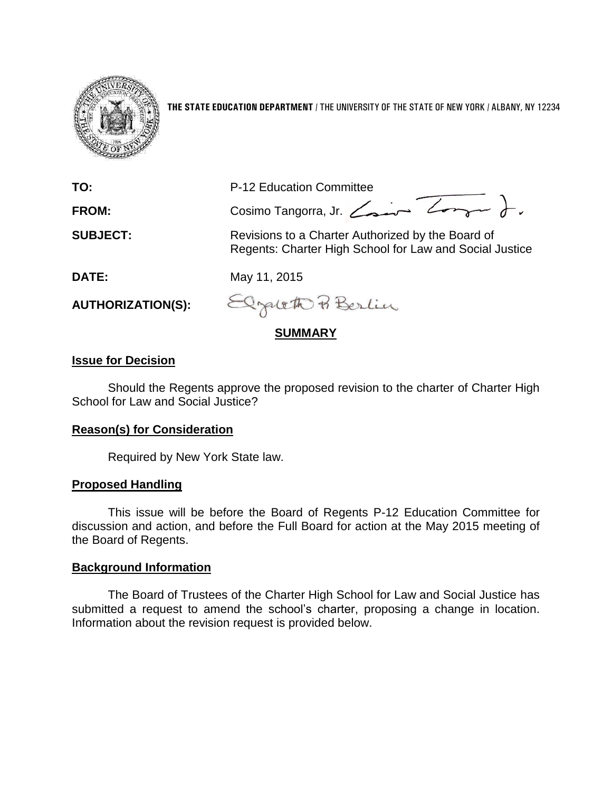

**THE STATE EDUCATION DEPARTMENT** / THE UNIVERSITY OF THE STATE OF NEW YORK / ALBANY, NY 12234

| <b>SUMMARY</b>           |                                                                                                              |
|--------------------------|--------------------------------------------------------------------------------------------------------------|
| <b>AUTHORIZATION(S):</b> | Elgatett Berlin                                                                                              |
| DATE:                    | May 11, 2015                                                                                                 |
| <b>SUBJECT:</b>          | Revisions to a Charter Authorized by the Board of<br>Regents: Charter High School for Law and Social Justice |
| FROM:                    | Cosimo Tangorra, Jr. Com                                                                                     |
| TO:                      | P-12 Education Committee                                                                                     |
|                          |                                                                                                              |

# **Issue for Decision**

Should the Regents approve the proposed revision to the charter of Charter High School for Law and Social Justice?

### **Reason(s) for Consideration**

Required by New York State law.

### **Proposed Handling**

This issue will be before the Board of Regents P-12 Education Committee for discussion and action, and before the Full Board for action at the May 2015 meeting of the Board of Regents.

### **Background Information**

The Board of Trustees of the Charter High School for Law and Social Justice has submitted a request to amend the school's charter, proposing a change in location. Information about the revision request is provided below.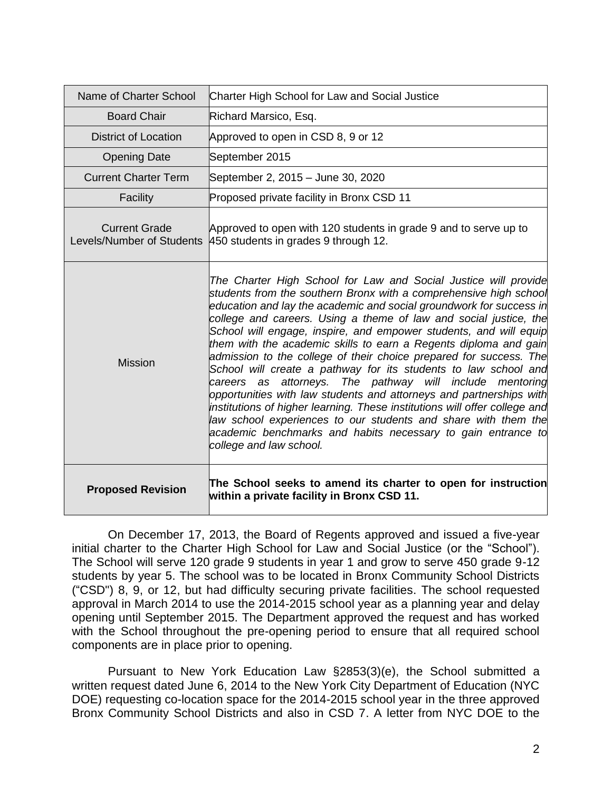| Name of Charter School                            | Charter High School for Law and Social Justice                                                                                                                                                                                                                                                                                                                                                                                                                                                                                                                                                                                                                                                                                                                                                                                                                                                                                                      |
|---------------------------------------------------|-----------------------------------------------------------------------------------------------------------------------------------------------------------------------------------------------------------------------------------------------------------------------------------------------------------------------------------------------------------------------------------------------------------------------------------------------------------------------------------------------------------------------------------------------------------------------------------------------------------------------------------------------------------------------------------------------------------------------------------------------------------------------------------------------------------------------------------------------------------------------------------------------------------------------------------------------------|
| <b>Board Chair</b>                                | Richard Marsico, Esq.                                                                                                                                                                                                                                                                                                                                                                                                                                                                                                                                                                                                                                                                                                                                                                                                                                                                                                                               |
| District of Location                              | Approved to open in CSD 8, 9 or 12                                                                                                                                                                                                                                                                                                                                                                                                                                                                                                                                                                                                                                                                                                                                                                                                                                                                                                                  |
| <b>Opening Date</b>                               | September 2015                                                                                                                                                                                                                                                                                                                                                                                                                                                                                                                                                                                                                                                                                                                                                                                                                                                                                                                                      |
| <b>Current Charter Term</b>                       | September 2, 2015 - June 30, 2020                                                                                                                                                                                                                                                                                                                                                                                                                                                                                                                                                                                                                                                                                                                                                                                                                                                                                                                   |
| Facility                                          | Proposed private facility in Bronx CSD 11                                                                                                                                                                                                                                                                                                                                                                                                                                                                                                                                                                                                                                                                                                                                                                                                                                                                                                           |
| <b>Current Grade</b><br>Levels/Number of Students | Approved to open with 120 students in grade 9 and to serve up to<br>450 students in grades 9 through 12.                                                                                                                                                                                                                                                                                                                                                                                                                                                                                                                                                                                                                                                                                                                                                                                                                                            |
| <b>Mission</b>                                    | The Charter High School for Law and Social Justice will provide<br>students from the southern Bronx with a comprehensive high school<br>education and lay the academic and social groundwork for success in<br>college and careers. Using a theme of law and social justice, the<br>School will engage, inspire, and empower students, and will equip<br>them with the academic skills to earn a Regents diploma and gain<br>admission to the college of their choice prepared for success. The<br>School will create a pathway for its students to law school and<br>attorneys. The pathway will include mentoring<br>careers as<br>opportunities with law students and attorneys and partnerships with<br>institutions of higher learning. These institutions will offer college and<br>law school experiences to our students and share with them the<br>academic benchmarks and habits necessary to gain entrance to<br>college and law school. |
| <b>Proposed Revision</b>                          | The School seeks to amend its charter to open for instruction<br>within a private facility in Bronx CSD 11.                                                                                                                                                                                                                                                                                                                                                                                                                                                                                                                                                                                                                                                                                                                                                                                                                                         |

On December 17, 2013, the Board of Regents approved and issued a five-year initial charter to the Charter High School for Law and Social Justice (or the "School"). The School will serve 120 grade 9 students in year 1 and grow to serve 450 grade 9-12 students by year 5. The school was to be located in Bronx Community School Districts ("CSD") 8, 9, or 12, but had difficulty securing private facilities. The school requested approval in March 2014 to use the 2014-2015 school year as a planning year and delay opening until September 2015. The Department approved the request and has worked with the School throughout the pre-opening period to ensure that all required school components are in place prior to opening.

Pursuant to New York Education Law §2853(3)(e), the School submitted a written request dated June 6, 2014 to the New York City Department of Education (NYC DOE) requesting co-location space for the 2014-2015 school year in the three approved Bronx Community School Districts and also in CSD 7. A letter from NYC DOE to the